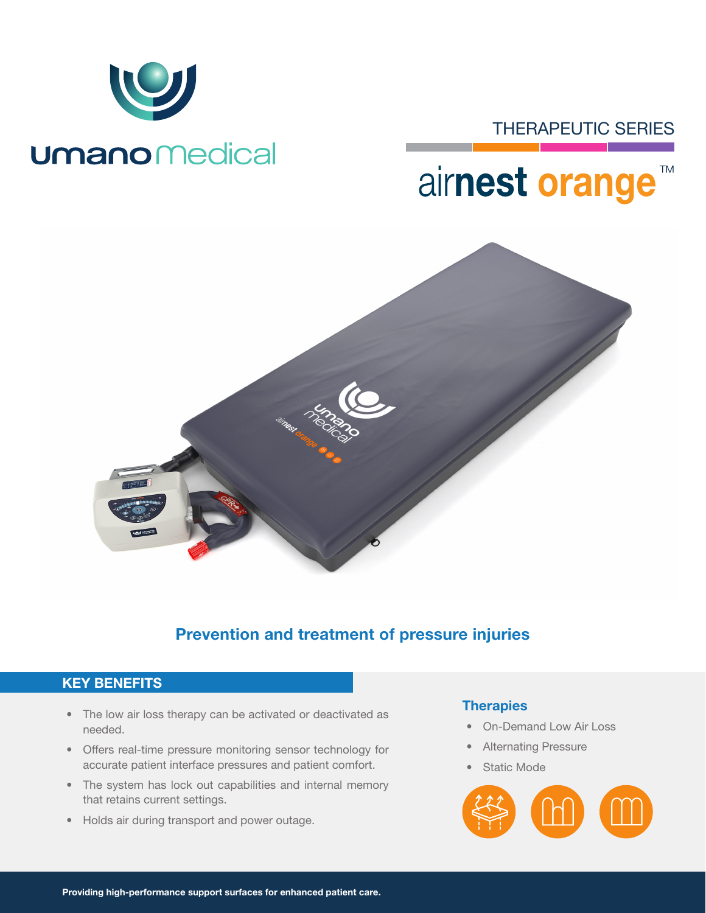

## THERAPEUTIC SERIES

## airnest orange **TM**



## Prevention and treatment of pressure injuries

### KEY BENEFITS

- The low air loss therapy can be activated or deactivated as needed.
- Offers real-time pressure monitoring sensor technology for accurate patient interface pressures and patient comfort.
- The system has lock out capabilities and internal memory that retains current settings.
- Holds air during transport and power outage.

#### **Therapies**

- On-Demand Low Air Loss
- Alternating Pressure
- Static Mode